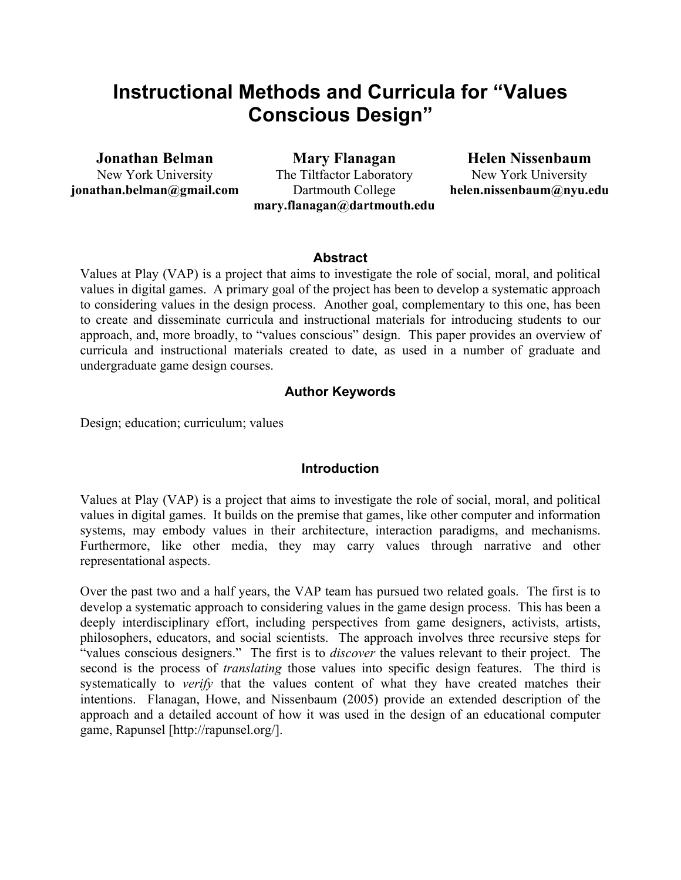# **Instructional Methods and Curricula for "Values Conscious Design"**

**Jonathan Belman**

New York University **jonathan.belman@gmail.com**

**Mary Flanagan** The Tiltfactor Laboratory Dartmouth College **mary.flanagan@dartmouth.edu**

**Helen Nissenbaum** New York University **helen.nissenbaum@nyu.edu**

#### **Abstract**

Values at Play (VAP) is a project that aims to investigate the role of social, moral, and political values in digital games. A primary goal of the project has been to develop a systematic approach to considering values in the design process. Another goal, complementary to this one, has been to create and disseminate curricula and instructional materials for introducing students to our approach, and, more broadly, to "values conscious" design. This paper provides an overview of curricula and instructional materials created to date, as used in a number of graduate and undergraduate game design courses.

#### **Author Keywords**

Design; education; curriculum; values

#### **Introduction**

Values at Play (VAP) is a project that aims to investigate the role of social, moral, and political values in digital games. It builds on the premise that games, like other computer and information systems, may embody values in their architecture, interaction paradigms, and mechanisms. Furthermore, like other media, they may carry values through narrative and other representational aspects.

Over the past two and a half years, the VAP team has pursued two related goals. The first is to develop a systematic approach to considering values in the game design process. This has been a deeply interdisciplinary effort, including perspectives from game designers, activists, artists, philosophers, educators, and social scientists. The approach involves three recursive steps for "values conscious designers." The first is to *discover* the values relevant to their project. The second is the process of *translating* those values into specific design features. The third is systematically to *verify* that the values content of what they have created matches their intentions. Flanagan, Howe, and Nissenbaum (2005) provide an extended description of the approach and a detailed account of how it was used in the design of an educational computer game, Rapunsel [http://rapunsel.org/].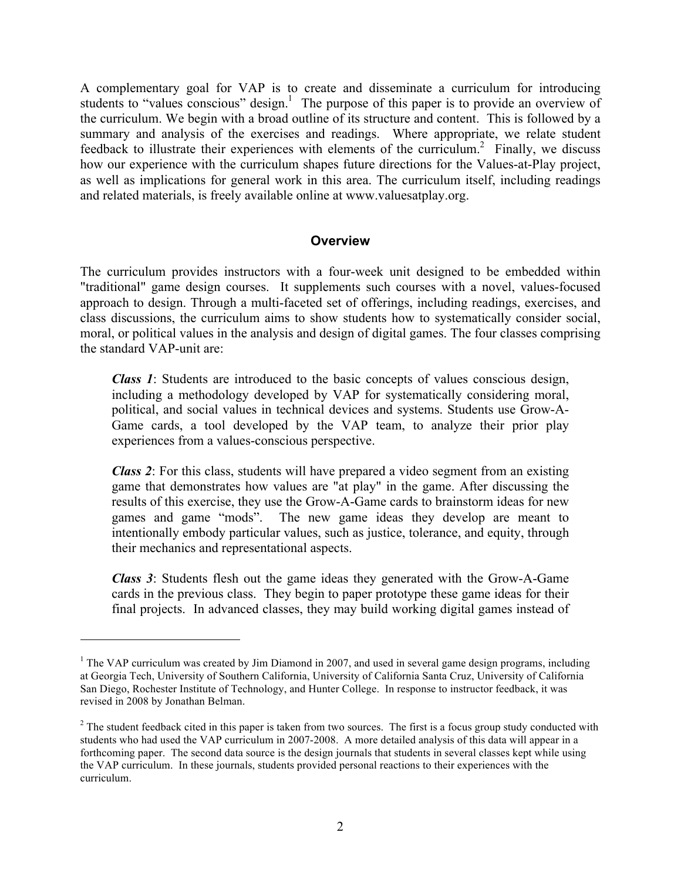A complementary goal for VAP is to create and disseminate a curriculum for introducing students to "values conscious" design.<sup>1</sup> The purpose of this paper is to provide an overview of the curriculum. We begin with a broad outline of its structure and content. This is followed by a summary and analysis of the exercises and readings. Where appropriate, we relate student feedback to illustrate their experiences with elements of the curriculum.<sup>2</sup> Finally, we discuss how our experience with the curriculum shapes future directions for the Values-at-Play project, as well as implications for general work in this area. The curriculum itself, including readings and related materials, is freely available online at www.valuesatplay.org.

#### **Overview**

The curriculum provides instructors with a four-week unit designed to be embedded within "traditional" game design courses. It supplements such courses with a novel, values-focused approach to design. Through a multi-faceted set of offerings, including readings, exercises, and class discussions, the curriculum aims to show students how to systematically consider social, moral, or political values in the analysis and design of digital games. The four classes comprising the standard VAP-unit are:

*Class 1*: Students are introduced to the basic concepts of values conscious design, including a methodology developed by VAP for systematically considering moral, political, and social values in technical devices and systems. Students use Grow-A-Game cards, a tool developed by the VAP team, to analyze their prior play experiences from a values-conscious perspective.

*Class 2*: For this class, students will have prepared a video segment from an existing game that demonstrates how values are "at play" in the game. After discussing the results of this exercise, they use the Grow-A-Game cards to brainstorm ideas for new games and game "mods". The new game ideas they develop are meant to intentionally embody particular values, such as justice, tolerance, and equity, through their mechanics and representational aspects.

*Class 3*: Students flesh out the game ideas they generated with the Grow-A-Game cards in the previous class. They begin to paper prototype these game ideas for their final projects. In advanced classes, they may build working digital games instead of

!!!!!!!!!!!!!!!!!!!!!!!!!!!!!!!!!!!!!!!!!!!!!!!!!!!!!!!

<sup>&</sup>lt;sup>1</sup> The VAP curriculum was created by Jim Diamond in 2007, and used in several game design programs, including at Georgia Tech, University of Southern California, University of California Santa Cruz, University of California San Diego, Rochester Institute of Technology, and Hunter College. In response to instructor feedback, it was revised in 2008 by Jonathan Belman.

 $2^{2}$  The student feedback cited in this paper is taken from two sources. The first is a focus group study conducted with students who had used the VAP curriculum in 2007-2008. A more detailed analysis of this data will appear in a forthcoming paper. The second data source is the design journals that students in several classes kept while using the VAP curriculum. In these journals, students provided personal reactions to their experiences with the curriculum.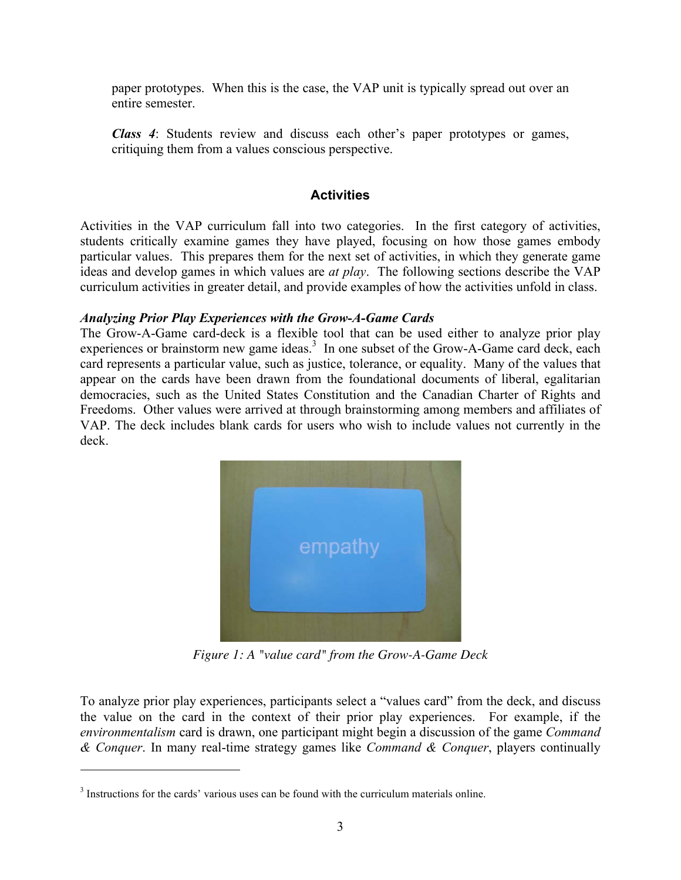paper prototypes. When this is the case, the VAP unit is typically spread out over an entire semester.

*Class 4*: Students review and discuss each other's paper prototypes or games, critiquing them from a values conscious perspective.

## **Activities**

Activities in the VAP curriculum fall into two categories. In the first category of activities, students critically examine games they have played, focusing on how those games embody particular values. This prepares them for the next set of activities, in which they generate game ideas and develop games in which values are *at play*. The following sections describe the VAP curriculum activities in greater detail, and provide examples of how the activities unfold in class.

#### *Analyzing Prior Play Experiences with the Grow-A-Game Cards*

The Grow-A-Game card-deck is a flexible tool that can be used either to analyze prior play experiences or brainstorm new game ideas. $3\,$  In one subset of the Grow-A-Game card deck, each card represents a particular value, such as justice, tolerance, or equality. Many of the values that appear on the cards have been drawn from the foundational documents of liberal, egalitarian democracies, such as the United States Constitution and the Canadian Charter of Rights and Freedoms. Other values were arrived at through brainstorming among members and affiliates of VAP. The deck includes blank cards for users who wish to include values not currently in the deck.



*Figure 1: A "value card" from the Grow-A-Game Deck*

To analyze prior play experiences, participants select a "values card" from the deck, and discuss the value on the card in the context of their prior play experiences. For example, if the *environmentalism* card is drawn, one participant might begin a discussion of the game *Command & Conquer*. In many real-time strategy games like *Command & Conquer*, players continually

!!!!!!!!!!!!!!!!!!!!!!!!!!!!!!!!!!!!!!!!!!!!!!!!!!!!!!!

 $3$  Instructions for the cards' various uses can be found with the curriculum materials online.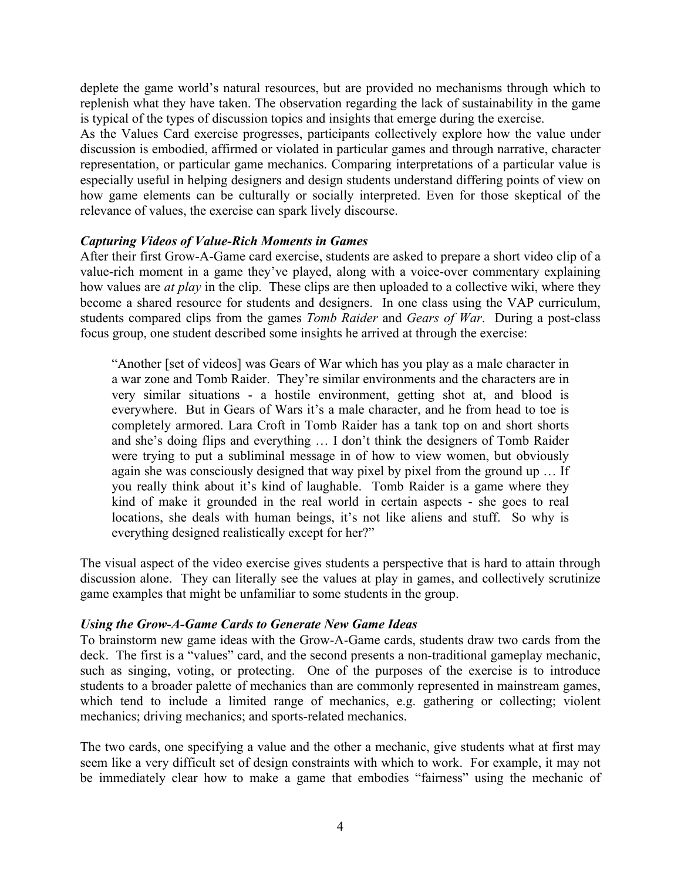deplete the game world's natural resources, but are provided no mechanisms through which to replenish what they have taken. The observation regarding the lack of sustainability in the game is typical of the types of discussion topics and insights that emerge during the exercise.

As the Values Card exercise progresses, participants collectively explore how the value under discussion is embodied, affirmed or violated in particular games and through narrative, character representation, or particular game mechanics. Comparing interpretations of a particular value is especially useful in helping designers and design students understand differing points of view on how game elements can be culturally or socially interpreted. Even for those skeptical of the relevance of values, the exercise can spark lively discourse.

#### *Capturing Videos of Value-Rich Moments in Games*

After their first Grow-A-Game card exercise, students are asked to prepare a short video clip of a value-rich moment in a game they've played, along with a voice-over commentary explaining how values are *at play* in the clip. These clips are then uploaded to a collective wiki, where they become a shared resource for students and designers. In one class using the VAP curriculum, students compared clips from the games *Tomb Raider* and *Gears of War*. During a post-class focus group, one student described some insights he arrived at through the exercise:

"Another [set of videos] was Gears of War which has you play as a male character in a war zone and Tomb Raider. They're similar environments and the characters are in very similar situations - a hostile environment, getting shot at, and blood is everywhere. But in Gears of Wars it's a male character, and he from head to toe is completely armored. Lara Croft in Tomb Raider has a tank top on and short shorts and she's doing flips and everything … I don't think the designers of Tomb Raider were trying to put a subliminal message in of how to view women, but obviously again she was consciously designed that way pixel by pixel from the ground up … If you really think about it's kind of laughable. Tomb Raider is a game where they kind of make it grounded in the real world in certain aspects - she goes to real locations, she deals with human beings, it's not like aliens and stuff. So why is everything designed realistically except for her?"

The visual aspect of the video exercise gives students a perspective that is hard to attain through discussion alone. They can literally see the values at play in games, and collectively scrutinize game examples that might be unfamiliar to some students in the group.

#### *Using the Grow-A-Game Cards to Generate New Game Ideas*

To brainstorm new game ideas with the Grow-A-Game cards, students draw two cards from the deck. The first is a "values" card, and the second presents a non-traditional gameplay mechanic, such as singing, voting, or protecting. One of the purposes of the exercise is to introduce students to a broader palette of mechanics than are commonly represented in mainstream games, which tend to include a limited range of mechanics, e.g. gathering or collecting; violent mechanics; driving mechanics; and sports-related mechanics.

The two cards, one specifying a value and the other a mechanic, give students what at first may seem like a very difficult set of design constraints with which to work. For example, it may not be immediately clear how to make a game that embodies "fairness" using the mechanic of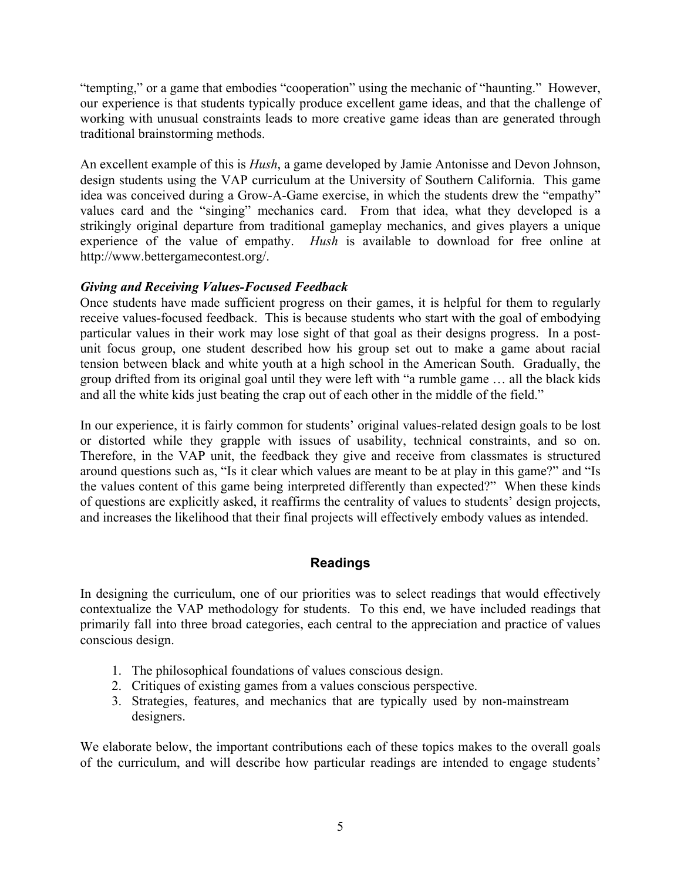"tempting," or a game that embodies "cooperation" using the mechanic of "haunting." However, our experience is that students typically produce excellent game ideas, and that the challenge of working with unusual constraints leads to more creative game ideas than are generated through traditional brainstorming methods.

An excellent example of this is *Hush*, a game developed by Jamie Antonisse and Devon Johnson, design students using the VAP curriculum at the University of Southern California. This game idea was conceived during a Grow-A-Game exercise, in which the students drew the "empathy" values card and the "singing" mechanics card. From that idea, what they developed is a strikingly original departure from traditional gameplay mechanics, and gives players a unique experience of the value of empathy. *Hush* is available to download for free online at http://www.bettergamecontest.org/.

# *Giving and Receiving Values-Focused Feedback*

Once students have made sufficient progress on their games, it is helpful for them to regularly receive values-focused feedback. This is because students who start with the goal of embodying particular values in their work may lose sight of that goal as their designs progress. In a postunit focus group, one student described how his group set out to make a game about racial tension between black and white youth at a high school in the American South. Gradually, the group drifted from its original goal until they were left with "a rumble game … all the black kids and all the white kids just beating the crap out of each other in the middle of the field."

In our experience, it is fairly common for students' original values-related design goals to be lost or distorted while they grapple with issues of usability, technical constraints, and so on. Therefore, in the VAP unit, the feedback they give and receive from classmates is structured around questions such as, "Is it clear which values are meant to be at play in this game?" and "Is the values content of this game being interpreted differently than expected?" When these kinds of questions are explicitly asked, it reaffirms the centrality of values to students' design projects, and increases the likelihood that their final projects will effectively embody values as intended.

# **Readings**

In designing the curriculum, one of our priorities was to select readings that would effectively contextualize the VAP methodology for students. To this end, we have included readings that primarily fall into three broad categories, each central to the appreciation and practice of values conscious design.

- 1. The philosophical foundations of values conscious design.
- 2. Critiques of existing games from a values conscious perspective.
- 3. Strategies, features, and mechanics that are typically used by non-mainstream designers.

We elaborate below, the important contributions each of these topics makes to the overall goals of the curriculum, and will describe how particular readings are intended to engage students'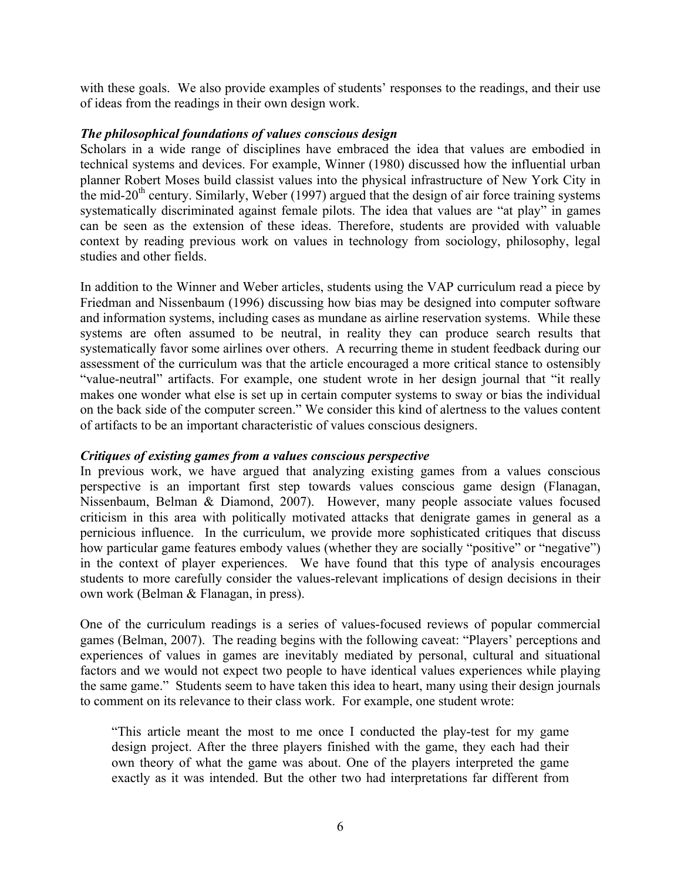with these goals. We also provide examples of students' responses to the readings, and their use of ideas from the readings in their own design work.

#### *The philosophical foundations of values conscious design*

Scholars in a wide range of disciplines have embraced the idea that values are embodied in technical systems and devices. For example, Winner (1980) discussed how the influential urban planner Robert Moses build classist values into the physical infrastructure of New York City in the mid-20<sup>th</sup> century. Similarly, Weber (1997) argued that the design of air force training systems systematically discriminated against female pilots. The idea that values are "at play" in games can be seen as the extension of these ideas. Therefore, students are provided with valuable context by reading previous work on values in technology from sociology, philosophy, legal studies and other fields.

In addition to the Winner and Weber articles, students using the VAP curriculum read a piece by Friedman and Nissenbaum (1996) discussing how bias may be designed into computer software and information systems, including cases as mundane as airline reservation systems. While these systems are often assumed to be neutral, in reality they can produce search results that systematically favor some airlines over others. A recurring theme in student feedback during our assessment of the curriculum was that the article encouraged a more critical stance to ostensibly "value-neutral" artifacts. For example, one student wrote in her design journal that "it really makes one wonder what else is set up in certain computer systems to sway or bias the individual on the back side of the computer screen." We consider this kind of alertness to the values content of artifacts to be an important characteristic of values conscious designers.

#### *Critiques of existing games from a values conscious perspective*

In previous work, we have argued that analyzing existing games from a values conscious perspective is an important first step towards values conscious game design (Flanagan, Nissenbaum, Belman & Diamond, 2007). However, many people associate values focused criticism in this area with politically motivated attacks that denigrate games in general as a pernicious influence. In the curriculum, we provide more sophisticated critiques that discuss how particular game features embody values (whether they are socially "positive" or "negative") in the context of player experiences. We have found that this type of analysis encourages students to more carefully consider the values-relevant implications of design decisions in their own work (Belman & Flanagan, in press).

One of the curriculum readings is a series of values-focused reviews of popular commercial games (Belman, 2007). The reading begins with the following caveat: "Players' perceptions and experiences of values in games are inevitably mediated by personal, cultural and situational factors and we would not expect two people to have identical values experiences while playing the same game." Students seem to have taken this idea to heart, many using their design journals to comment on its relevance to their class work. For example, one student wrote:

"This article meant the most to me once I conducted the play-test for my game design project. After the three players finished with the game, they each had their own theory of what the game was about. One of the players interpreted the game exactly as it was intended. But the other two had interpretations far different from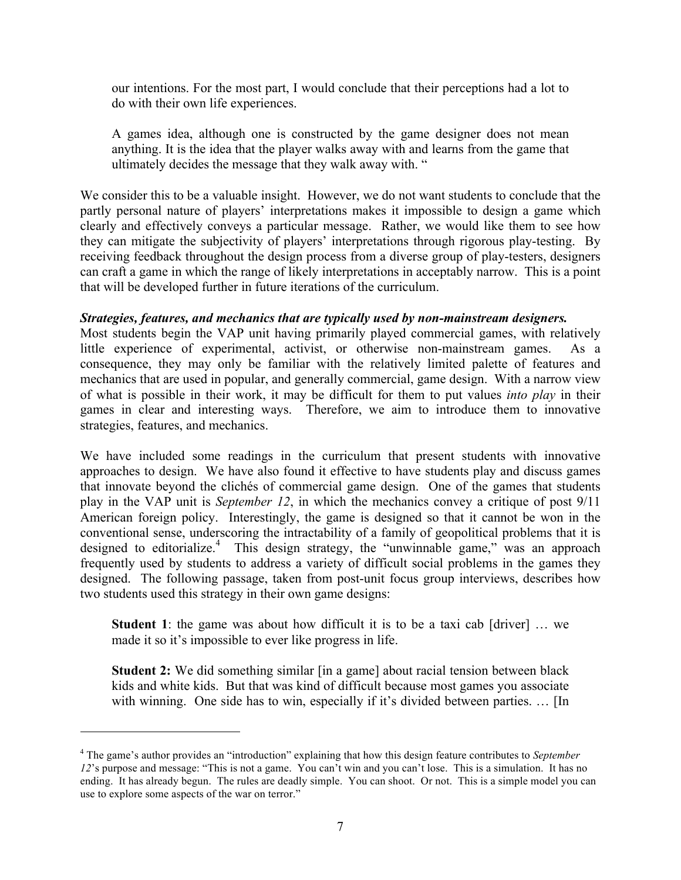our intentions. For the most part, I would conclude that their perceptions had a lot to do with their own life experiences.

A games idea, although one is constructed by the game designer does not mean anything. It is the idea that the player walks away with and learns from the game that ultimately decides the message that they walk away with. "

We consider this to be a valuable insight. However, we do not want students to conclude that the partly personal nature of players' interpretations makes it impossible to design a game which clearly and effectively conveys a particular message. Rather, we would like them to see how they can mitigate the subjectivity of players' interpretations through rigorous play-testing. By receiving feedback throughout the design process from a diverse group of play-testers, designers can craft a game in which the range of likely interpretations in acceptably narrow. This is a point that will be developed further in future iterations of the curriculum.

### *Strategies, features, and mechanics that are typically used by non-mainstream designers.*

Most students begin the VAP unit having primarily played commercial games, with relatively little experience of experimental, activist, or otherwise non-mainstream games. As a consequence, they may only be familiar with the relatively limited palette of features and mechanics that are used in popular, and generally commercial, game design. With a narrow view of what is possible in their work, it may be difficult for them to put values *into play* in their games in clear and interesting ways. Therefore, we aim to introduce them to innovative strategies, features, and mechanics.

We have included some readings in the curriculum that present students with innovative approaches to design. We have also found it effective to have students play and discuss games that innovate beyond the clichés of commercial game design. One of the games that students play in the VAP unit is *September 12*, in which the mechanics convey a critique of post 9/11 American foreign policy. Interestingly, the game is designed so that it cannot be won in the conventional sense, underscoring the intractability of a family of geopolitical problems that it is designed to editorialize.<sup>4</sup> This design strategy, the "unwinnable game," was an approach frequently used by students to address a variety of difficult social problems in the games they designed. The following passage, taken from post-unit focus group interviews, describes how two students used this strategy in their own game designs:

**Student 1**: the game was about how difficult it is to be a taxi cab [driver] ... we made it so it's impossible to ever like progress in life.

**Student 2:** We did something similar [in a game] about racial tension between black kids and white kids. But that was kind of difficult because most games you associate with winning. One side has to win, especially if it's divided between parties. ... [In

!!!!!!!!!!!!!!!!!!!!!!!!!!!!!!!!!!!!!!!!!!!!!!!!!!!!!!!

<sup>4</sup> The game's author provides an "introduction" explaining that how this design feature contributes to *September 12*'s purpose and message: "This is not a game. You can't win and you can't lose. This is a simulation. It has no ending. It has already begun. The rules are deadly simple. You can shoot. Or not. This is a simple model you can use to explore some aspects of the war on terror."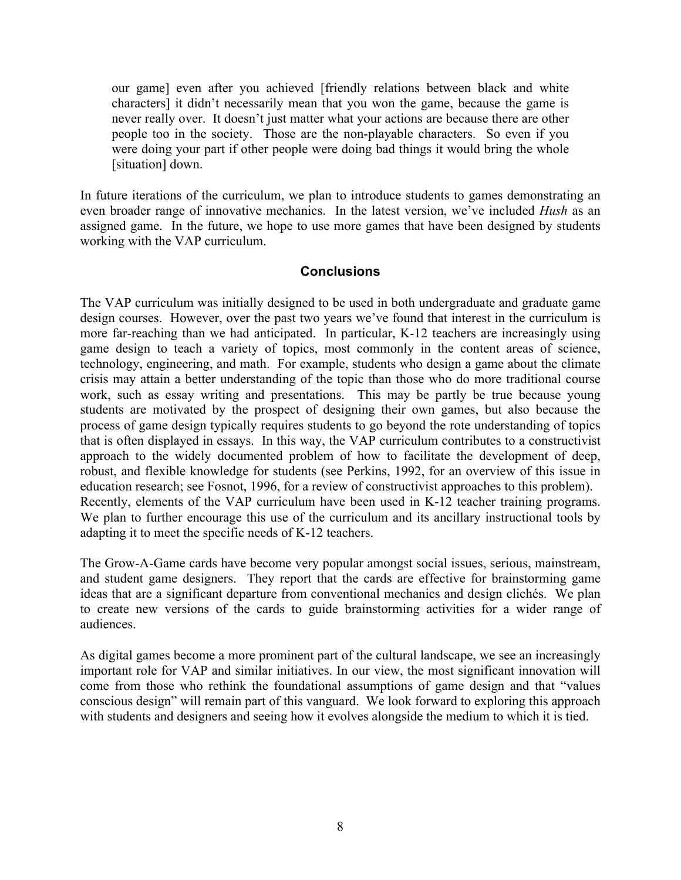our game] even after you achieved [friendly relations between black and white characters] it didn't necessarily mean that you won the game, because the game is never really over. It doesn't just matter what your actions are because there are other people too in the society. Those are the non-playable characters. So even if you were doing your part if other people were doing bad things it would bring the whole [situation] down.

In future iterations of the curriculum, we plan to introduce students to games demonstrating an even broader range of innovative mechanics. In the latest version, we've included *Hush* as an assigned game. In the future, we hope to use more games that have been designed by students working with the VAP curriculum.

# **Conclusions**

The VAP curriculum was initially designed to be used in both undergraduate and graduate game design courses. However, over the past two years we've found that interest in the curriculum is more far-reaching than we had anticipated. In particular, K-12 teachers are increasingly using game design to teach a variety of topics, most commonly in the content areas of science, technology, engineering, and math. For example, students who design a game about the climate crisis may attain a better understanding of the topic than those who do more traditional course work, such as essay writing and presentations. This may be partly be true because young students are motivated by the prospect of designing their own games, but also because the process of game design typically requires students to go beyond the rote understanding of topics that is often displayed in essays. In this way, the VAP curriculum contributes to a constructivist approach to the widely documented problem of how to facilitate the development of deep, robust, and flexible knowledge for students (see Perkins, 1992, for an overview of this issue in education research; see Fosnot, 1996, for a review of constructivist approaches to this problem). Recently, elements of the VAP curriculum have been used in K-12 teacher training programs. We plan to further encourage this use of the curriculum and its ancillary instructional tools by adapting it to meet the specific needs of K-12 teachers.

The Grow-A-Game cards have become very popular amongst social issues, serious, mainstream, and student game designers. They report that the cards are effective for brainstorming game ideas that are a significant departure from conventional mechanics and design clichés. We plan to create new versions of the cards to guide brainstorming activities for a wider range of audiences.

As digital games become a more prominent part of the cultural landscape, we see an increasingly important role for VAP and similar initiatives. In our view, the most significant innovation will come from those who rethink the foundational assumptions of game design and that "values conscious design" will remain part of this vanguard. We look forward to exploring this approach with students and designers and seeing how it evolves alongside the medium to which it is tied.